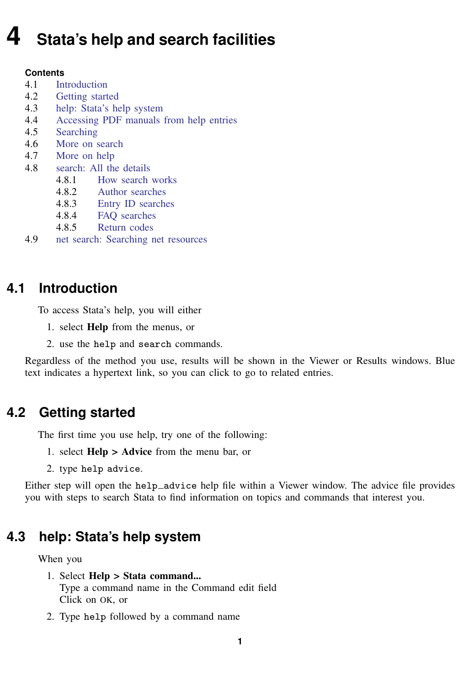# <span id="page-0-3"></span>**4 Stata's help and search facilities**

#### **Contents**

- 4.1 [Introduction](#page-0-0)
- 4.2 [Getting started](#page-0-1)<br>4.3 help: Stata's help
- 4.3 [help: Stata's help system](#page-0-2)<br>4.4 Accessing PDF manuals
- 4.4 [Accessing PDF manuals from help entries](#page-1-0)<br>4.5 Searching
- 4.5 [Searching](#page-2-0)<br>4.6 More on s
- [More on search](#page-2-1)
- 4.7 [More on help](#page-3-0)
- 4.8 [search: All the details](#page-3-1)
	- 4.8.1 [How search works](#page-4-0)
	- 4.8.2 [Author searches](#page-4-1)
	- 4.8.3 [Entry ID searches](#page-5-0)
	- 4.8.4 [FAQ searches](#page-6-0)
	- 4.8.5 [Return codes](#page-6-1)
- <span id="page-0-0"></span>4.9 [net search: Searching net resources](#page-6-2)

## **4.1 Introduction**

To access Stata's help, you will either

- 1. select Help from the menus, or
- 2. use the help and search commands.

<span id="page-0-1"></span>Regardless of the method you use, results will be shown in the Viewer or Results windows. Blue text indicates a hypertext link, so you can click to go to related entries.

# **4.2 Getting started**

The first time you use help, try one of the following:

- 1. select Help > Advice from the menu bar, or
- 2. type help advice.

<span id="page-0-2"></span>Either step will open the help advice help file within a Viewer window. The advice file provides you with steps to search Stata to find information on topics and commands that interest you.

# **4.3 help: Stata's help system**

#### When you

- 1. Select Help > Stata command... Type a command name in the Command edit field Click on OK, or
- 2. Type help followed by a command name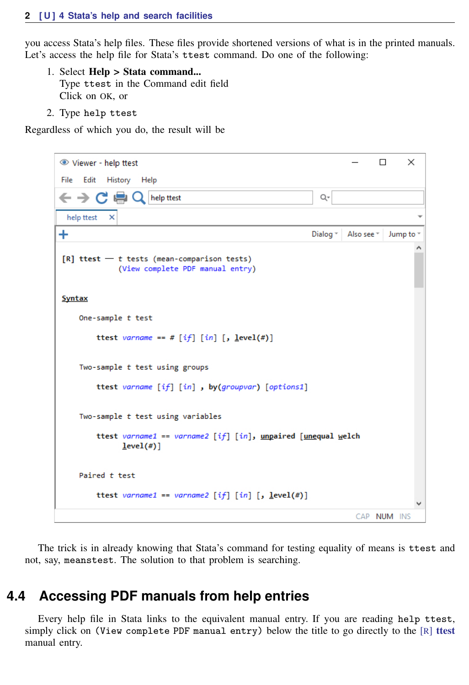you access Stata's help files. These files provide shortened versions of what is in the printed manuals. Let's access the help file for Stata's ttest command. Do one of the following:

- 1. Select Help > Stata command... Type ttest in the Command edit field Click on OK, or
- 2. Type help ttest

Regardless of which you do, the result will be

```
● Viewer - help ttest
                                                                                         \BoxX
File
      Edit
             History
                      Help
\leftarrow \rightarrowالكر
                         help ttest
                                                                        Q٠
  help ttest
              \times÷
                                                                      Dialog<sup>-</sup>
                                                                                Also see *
                                                                                           Jump to *
[R] ttest - t tests (mean-comparison tests)
                (View complete PDF manual entry)
Syntax
     One-sample t test
          ttest varname == # \lceil i f \rceil \lceil i n \rceil \lceil, level(#)]
     Two-sample t test using groups
          ttest varname [if] [in], by(groupvar) [options1]
     Two-sample t test using variables
          ttest varname1 == varname2 [if] [in], unpaired [unequal welch
                 level( #)]
     Paired t test
          ttest varname1 == varname2 [if] [in] [, \text{level}(\#)]CAP NUM INS
```
<span id="page-1-0"></span>The trick is in already knowing that Stata's command for testing equality of means is ttest and not, say, meanstest. The solution to that problem is searching.

## **4.4 Accessing PDF manuals from help entries**

Every help file in Stata links to the equivalent manual entry. If you are reading help ttest, simply click on (View complete PDF manual entry) below the title to go directly to the  $[R]$  [ttest](https://www.stata.com/manuals/rttest.pdf#rttest) manual entry.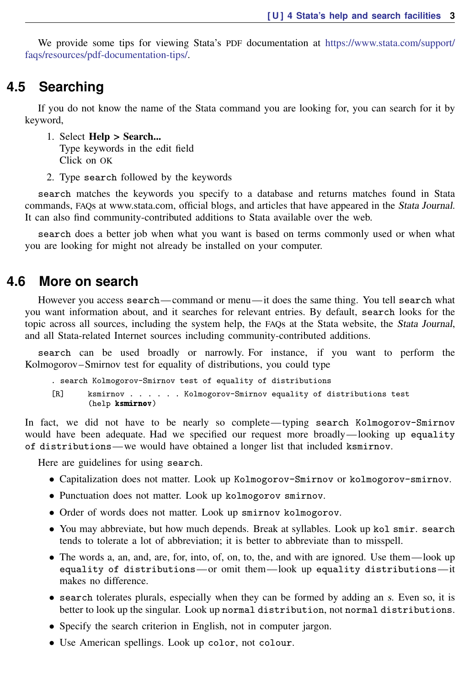<span id="page-2-0"></span>We provide some tips for viewing Stata's PDF documentation at [https://www.stata.com/support/](https://www.stata.com/support/faqs/resources/pdf-documentation-tips/) [faqs/resources/pdf-documentation-tips/.](https://www.stata.com/support/faqs/resources/pdf-documentation-tips/)

## **4.5 Searching**

If you do not know the name of the Stata command you are looking for, you can search for it by keyword,

1. Select Help > Search... Type keywords in the edit field  $C$ lick on  $\Omega$ K

2. Type search followed by the keywords

search matches the keywords you specify to a database and returns matches found in Stata commands, FAQs at www.stata.com, official blogs, and articles that have appeared in the Stata Journal. It can also find community-contributed additions to Stata available over the web.

<span id="page-2-1"></span>search does a better job when what you want is based on terms commonly used or when what you are looking for might not already be installed on your computer.

## **4.6 More on search**

However you access search—command or menu—it does the same thing. You tell search what you want information about, and it searches for relevant entries. By default, search looks for the topic across all sources, including the system help, the FAQs at the Stata website, the Stata Journal, and all Stata-related Internet sources including community-contributed additions.

search can be used broadly or narrowly. For instance, if you want to perform the Kolmogorov –Smirnov test for equality of distributions, you could type

. search Kolmogorov-Smirnov test of equality of distributions [R] ksmirnov . . . . . . Kolmogorov-Smirnov equality of distributions test (help ksmirnov)

In fact, we did not have to be nearly so complete—typing search Kolmogorov-Smirnov would have been adequate. Had we specified our request more broadly—looking up equality of distributions—we would have obtained a longer list that included ksmirnov.

Here are guidelines for using search.

- Capitalization does not matter. Look up Kolmogorov-Smirnov or kolmogorov-smirnov.
- Punctuation does not matter. Look up kolmogorov smirnov.
- Order of words does not matter. Look up smirnov kolmogorov.
- You may abbreviate, but how much depends. Break at syllables. Look up kol smir. search tends to tolerate a lot of abbreviation; it is better to abbreviate than to misspell.
- The words a, an, and, are, for, into, of, on, to, the, and with are ignored. Use them—look up equality of distributions— or omit them—look up equality distributions—it makes no difference.
- search tolerates plurals, especially when they can be formed by adding an s. Even so, it is better to look up the singular. Look up normal distribution, not normal distributions.
- Specify the search criterion in English, not in computer jargon.
- Use American spellings. Look up color, not colour.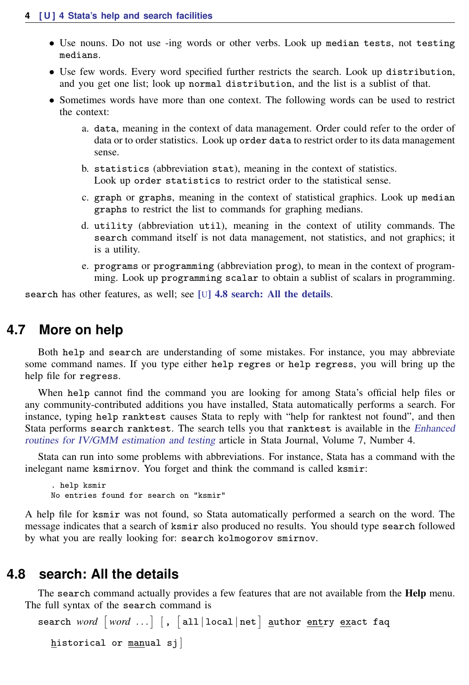- Use nouns. Do not use -ing words or other verbs. Look up median tests, not testing medians.
- Use few words. Every word specified further restricts the search. Look up distribution, and you get one list; look up normal distribution, and the list is a sublist of that.
- Sometimes words have more than one context. The following words can be used to restrict the context:
	- a. data, meaning in the context of data management. Order could refer to the order of data or to order statistics. Look up order data to restrict order to its data management sense.
	- b. statistics (abbreviation stat), meaning in the context of statistics. Look up order statistics to restrict order to the statistical sense.
	- c. graph or graphs, meaning in the context of statistical graphics. Look up median graphs to restrict the list to commands for graphing medians.
	- d. utility (abbreviation util), meaning in the context of utility commands. The search command itself is not data management, not statistics, and not graphics; it is a utility.
	- e. programs or programming (abbreviation prog), to mean in the context of programming. Look up programming scalar to obtain a sublist of scalars in programming.

<span id="page-3-0"></span>search has other features, as well; see [U[\] 4.8 search: All the details](#page-3-1).

## **4.7 More on help**

Both help and search are understanding of some mistakes. For instance, you may abbreviate some command names. If you type either help regres or help regress, you will bring up the help file for regress.

When help cannot find the command you are looking for among Stata's official help files or any community-contributed additions you have installed, Stata automatically performs a search. For instance, typing help ranktest causes Stata to reply with "help for ranktest not found", and then Stata performs search ranktest. The search tells you that ranktest is available in the [Enhanced](http://www.stata-journal.com/sjpdf.html?articlenum=st0030_3) [routines for IV/GMM estimation and testing](http://www.stata-journal.com/sjpdf.html?articlenum=st0030_3) article in Stata Journal, Volume 7, Number 4.

Stata can run into some problems with abbreviations. For instance, Stata has a command with the inelegant name ksmirnov. You forget and think the command is called ksmir:

. help ksmir No entries found for search on "ksmir"

A help file for ksmir was not found, so Stata automatically performed a search on the word. The message indicates that a search of ksmir also produced no results. You should type search followed by what you are really looking for: search kolmogorov smirnov.

## <span id="page-3-1"></span>**4.8 search: All the details**

The search command actually provides a few features that are not available from the **Help** menu. The full syntax of the search command is

```
search word \lceil word ... \rceil [, \lceil all \rceil local \rceil net \rceil author entry exact faq
```

```
historical or manual sj
```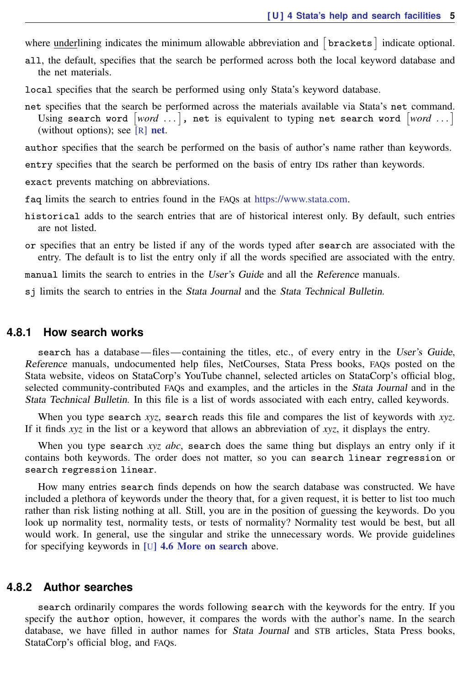where <u>underlining</u> indicates the minimum allowable abbreviation and  $\alpha$  brackets indicate optional.

- all, the default, specifies that the search be performed across both the local keyword database and the net materials.
- local specifies that the search be performed using only Stata's keyword database.
- net specifies that the search be performed across the materials available via Stata's net command. Using search word  $\lceil word \ldots \rceil$ , net is equivalent to typing net search word  $\lceil word \ldots \rceil$ (without options); see  $\overline{R}$  [net](https://www.stata.com/manuals/rnet.pdf#rnet).

author specifies that the search be performed on the basis of author's name rather than keywords.

entry specifies that the search be performed on the basis of entry IDs rather than keywords.

exact prevents matching on abbreviations.

faq limits the search to entries found in the FAQs at [https://www.stata.com.](https://www.stata.com)

- historical adds to the search entries that are of historical interest only. By default, such entries are not listed.
- or specifies that an entry be listed if any of the words typed after search are associated with the entry. The default is to list the entry only if all the words specified are associated with the entry.

manual limits the search to entries in the User's Guide and all the Reference manuals.

<span id="page-4-0"></span>sj limits the search to entries in the Stata Journal and the Stata Technical Bulletin.

#### **4.8.1 How search works**

search has a database—files—containing the titles, etc., of every entry in the User's Guide, Reference manuals, undocumented help files, NetCourses, Stata Press books, FAQs posted on the Stata website, videos on StataCorp's YouTube channel, selected articles on StataCorp's official blog, selected community-contributed FAOs and examples, and the articles in the Stata Journal and in the Stata Technical Bulletin. In this file is a list of words associated with each entry, called keywords.

When you type search *xyz*, search reads this file and compares the list of keywords with *xyz*. If it finds *xyz* in the list or a keyword that allows an abbreviation of *xyz*, it displays the entry.

When you type search *xyz abc*, search does the same thing but displays an entry only if it contains both keywords. The order does not matter, so you can search linear regression or search regression linear.

How many entries search finds depends on how the search database was constructed. We have included a plethora of keywords under the theory that, for a given request, it is better to list too much rather than risk listing nothing at all. Still, you are in the position of guessing the keywords. Do you look up normality test, normality tests, or tests of normality? Normality test would be best, but all would work. In general, use the singular and strike the unnecessary words. We provide guidelines for specifying keywords in [U[\] 4.6 More on search](#page-2-1) above.

#### <span id="page-4-1"></span>**4.8.2 Author searches**

search ordinarily compares the words following search with the keywords for the entry. If you specify the author option, however, it compares the words with the author's name. In the search database, we have filled in author names for Stata Journal and STB articles, Stata Press books, StataCorp's official blog, and FAQs.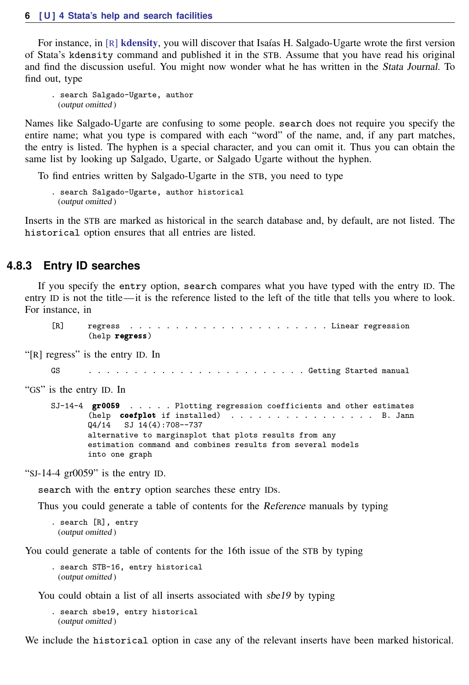For instance, in [R] [kdensity](https://www.stata.com/manuals/rkdensity.pdf#rkdensity), you will discover that Isaías H. Salgado-Ugarte wrote the first version of Stata's kdensity command and published it in the STB. Assume that you have read his original and find the discussion useful. You might now wonder what he has written in the Stata Journal. To find out, type

. search Salgado-Ugarte, author (output omitted )

Names like Salgado-Ugarte are confusing to some people. search does not require you specify the entire name; what you type is compared with each "word" of the name, and, if any part matches, the entry is listed. The hyphen is a special character, and you can omit it. Thus you can obtain the same list by looking up Salgado, Ugarte, or Salgado Ugarte without the hyphen.

To find entries written by Salgado-Ugarte in the STB, you need to type

. search Salgado-Ugarte, author historical (output omitted )

<span id="page-5-0"></span>Inserts in the STB are marked as historical in the search database and, by default, are not listed. The historical option ensures that all entries are listed.

### **4.8.3 Entry ID searches**

If you specify the entry option, search compares what you have typed with the entry ID. The entry ID is not the title—it is the reference listed to the left of the title that tells you where to look. For instance, in

[R] regress . . . . . . . . . . . . . . . . . . . . . . Linear regression (help regress) "[R] regress" is the entry ID. In GS . . . . . . . . . . . . . . . . . . . . . . . . Getting Started manual "GS" is the entry ID. In SJ-14-4 gr0059 . . . . . Plotting regression coefficients and other estimates (help coefplot if installed) . . . . . . . . . . . . . . . . B. Jann Q4/14 SJ 14(4):708--737 alternative to marginsplot that plots results from any estimation command and combines results from several models into one graph

"SJ-14-4 gr0059" is the entry ID.

search with the entry option searches these entry IDs.

Thus you could generate a table of contents for the Reference manuals by typing

. search [R], entry (output omitted )

You could generate a table of contents for the 16th issue of the STB by typing

. search STB-16, entry historical (output omitted )

You could obtain a list of all inserts associated with sbe19 by typing

. search sbe19, entry historical (output omitted )

We include the historical option in case any of the relevant inserts have been marked historical.